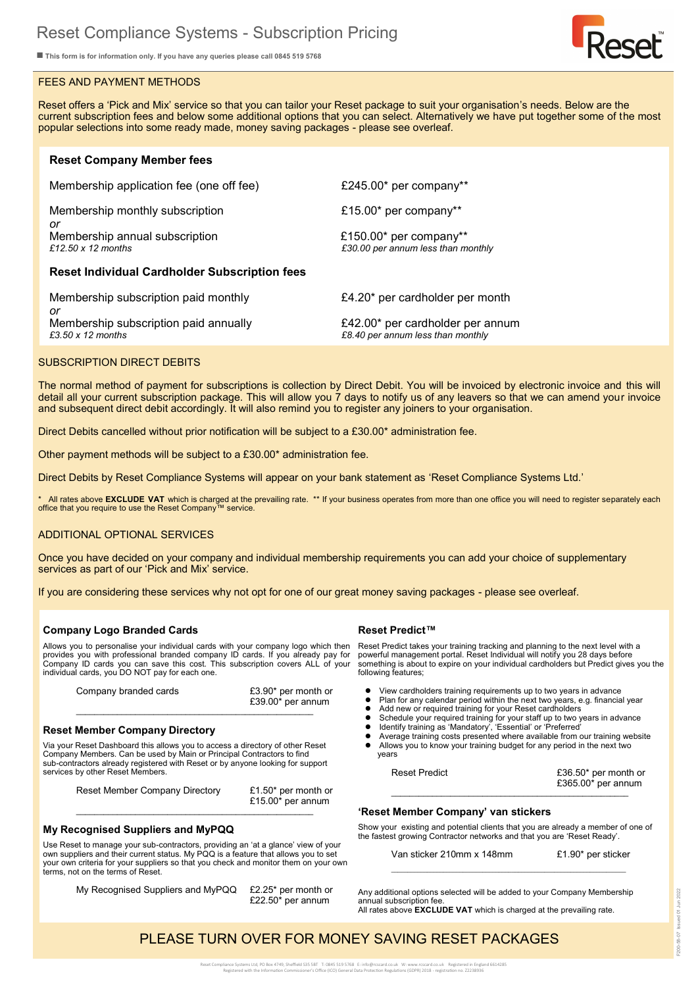■ This form is for information only. If you have any queries please call 0845 519 5768

### FEES AND PAYMENT METHODS

**Reset Company Member fees**

Reset offers a 'Pick and Mix' service so that you can tailor your Reset package to suit your organisation's needs. Below are the current subscription fees and below some additional options that you can select. Alternatively we have put together some of the most popular selections into some ready made, money saving packages - please see overleaf.

| Membership application fee (one off fee)                    | £245.00 $*$ per company $**$                                 |
|-------------------------------------------------------------|--------------------------------------------------------------|
| Membership monthly subscription<br>or                       | £15.00* per company**                                        |
| Membership annual subscription<br>£12.50 $\times$ 12 months | £150.00* per company**<br>£30.00 per annum less than monthly |
| <b>Reset Individual Cardholder Subscription fees</b>        |                                                              |
| Membership subscription paid monthly                        | £4.20* per cardholder per month                              |

*or* Membership subscription paid annually £42.00\* per cardholder per annum *£3.50 x 12 months £8.40 per annum less than monthly*

### SUBSCRIPTION DIRECT DEBITS

The normal method of payment for subscriptions is collection by Direct Debit. You will be invoiced by electronic invoice and this will detail all your current subscription package. This will allow you 7 days to notify us of any leavers so that we can amend your invoice and subsequent direct debit accordingly. It will also remind you to register any joiners to your organisation.

Direct Debits cancelled without prior notification will be subject to a £30.00<sup>\*</sup> administration fee.

Other payment methods will be subject to a £30.00\* administration fee.

Direct Debits by Reset Compliance Systems will appear on your bank statement as 'Reset Compliance Systems Ltd.'

\* All rates above **EXCLUDE VAT** which is charged at the prevailing rate. \*\* If your business operates from more than one office you will need to register separately each<br>office that you require to use the Reset Company

#### ADDITIONAL OPTIONAL SERVICES

Once you have decided on your company and individual membership requirements you can add your choice of supplementary services as part of our 'Pick and Mix' service.

If you are considering these services why not opt for one of our great money saving packages - please see overleaf.

#### **Company Logo Branded Cards**

Allows you to personalise your individual cards with your company logo which then provides you with professional branded company ID cards. If you already pay for Company ID cards you can save this cost. This subscription covers ALL of your individual cards, you DO NOT pay for each one.

 $\mathcal{L}_\text{max}$  and  $\mathcal{L}_\text{max}$  and  $\mathcal{L}_\text{max}$  and  $\mathcal{L}_\text{max}$  and  $\mathcal{L}_\text{max}$ 

| Company branded cards | £3.90 $*$ per month or |
|-----------------------|------------------------|
|                       | £39.00 $*$ per annum   |

#### **Reset Member Company Directory**

Via your Reset Dashboard this allows you to access a directory of other Reset Company Members. Can be used by Main or Principal Contractors to find sub-contractors already registered with Reset or by anyone looking for support services by other Reset Members.

Reset Member Company Directory £1.50\* per month or

 $£15.00<sup>*</sup>$  per annum

### **My Recognised Suppliers and MyPQQ**

Use Reset to manage your sub-contractors, providing an 'at a glance' view of your own suppliers and their current status. My PQQ is a feature that allows you to set your own criteria for your suppliers so that you check and monitor them on your own terms, not on the terms of Reset.

My Recognised Suppliers and MyPQQ £2.25\* per month or

£22.50\* per annum

### **Reset Predict™**

Reset Predict takes your training tracking and planning to the next level with a powerful management portal. Reset Individual will notify you 28 days before something is about to expire on your individual cardholders but Predict gives you the following features;

- ⚫ View cardholders training requirements up to two years in advance
- Plan for any calendar period within the next two years, e.g. financial year<br>● Add new or required training for your Reset cardholders
- 
- ⚫ Add new or required training for your Reset cardholders ⚫ Schedule your required training for your staff up to two years in advance ⚫ Identify training as 'Mandatory', 'Essential' or 'Preferred'
- 
- ⚫ Average training costs presented where available from our training website ⚫ Allows you to know your training budget for any period in the next two years

Reset Predict **E36.50\*** per month or  $£365.00<sup>*</sup>$  per annum \_\_\_\_\_\_\_\_\_\_\_\_\_\_\_\_\_\_\_\_\_\_\_\_\_\_\_\_\_\_\_\_\_\_\_\_\_\_\_\_\_\_\_\_\_\_\_\_\_\_\_\_

### **'Reset Member Company' van stickers**

Show your existing and potential clients that you are already a member of one of the fastest growing Contractor networks and that you are 'Reset Ready'.

 $\mathcal{L}_\text{max}$  and the contribution of the contribution of the contribution of the contribution of the contribution of the contribution of the contribution of the contribution of the contribution of the contribution of the

Van sticker 210mm x 148mm £1.90\* per sticker

Any additional options selected will be added to your Company Membership annual subscription fee

All rates above **EXCLUDE VAT** which is charged at the prevailing rate.

### PLEASE TURN OVER FOR MONEY SAVING RESET PACKAGES



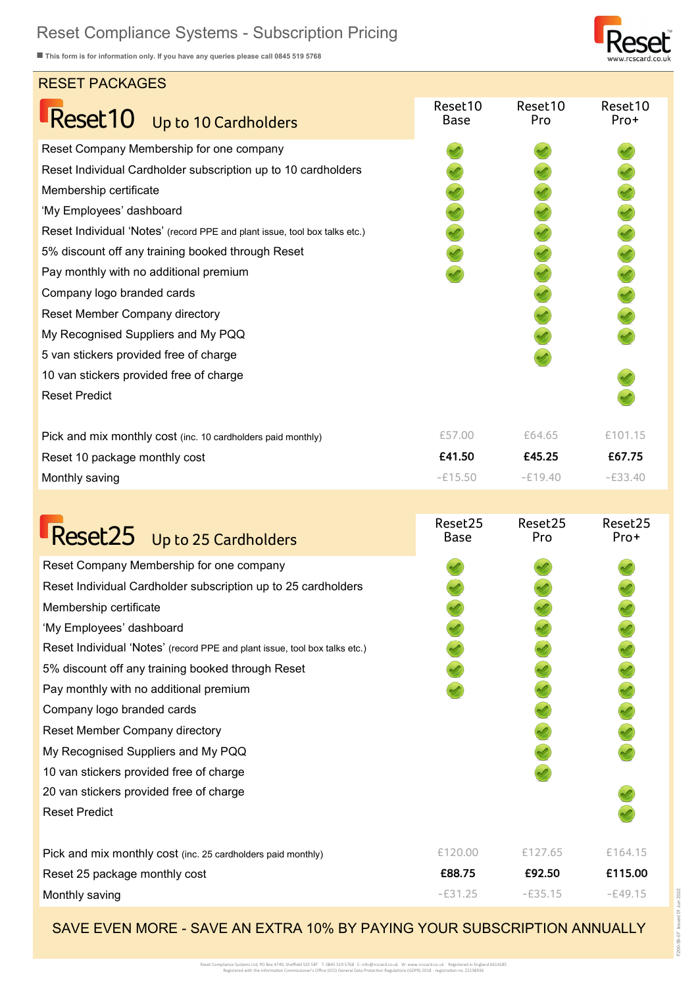## Reset Compliance Systems - Subscription Pricing

■ This form is for information only. If you have any queries please call 0845 519 5768

### RESET PACKAGES



| REJET PAUNAUEJ                                                             |                        |                |                 |
|----------------------------------------------------------------------------|------------------------|----------------|-----------------|
| Reset10 Up to 10 Cardholders                                               | Reset10<br><b>Base</b> | Reset10<br>Pro | Reset10<br>Pro+ |
| Reset Company Membership for one company                                   |                        |                |                 |
| Reset Individual Cardholder subscription up to 10 cardholders              |                        |                |                 |
| Membership certificate                                                     |                        |                | 22222222        |
| 'My Employees' dashboard                                                   |                        |                |                 |
| Reset Individual 'Notes' (record PPE and plant issue, tool box talks etc.) |                        |                |                 |
| 5% discount off any training booked through Reset                          |                        |                |                 |
| Pay monthly with no additional premium                                     |                        |                |                 |
| Company logo branded cards                                                 |                        |                |                 |
| Reset Member Company directory                                             |                        |                |                 |
| My Recognised Suppliers and My PQQ                                         |                        |                |                 |
| 5 van stickers provided free of charge                                     |                        |                |                 |
| 10 van stickers provided free of charge                                    |                        |                |                 |
| <b>Reset Predict</b>                                                       |                        |                |                 |
| Pick and mix monthly cost (inc. 10 cardholders paid monthly)               | £57.00                 | £64.65         | £101.15         |
| Reset 10 package monthly cost                                              | £41.50                 | £45.25         | £67.75          |
| Monthly saving                                                             | $-E15.50$              | $-E19.40$      | $-E33.40$       |
|                                                                            |                        |                |                 |
| Reset25 Up to 25 Cardholders                                               | Reset25<br><b>Base</b> | Reset25<br>Pro | Reset25<br>Pro+ |
| Reset Company Membership for one company                                   |                        |                |                 |
| Reset Individual Cardholder subscription up to 25 cardholders              |                        |                |                 |
| Membership certificate                                                     |                        |                |                 |

| 'My Employees' dashboard                                                   |
|----------------------------------------------------------------------------|
| Reset Individual 'Notes' (record PPE and plant issue, tool box talks etc.) |

5% discount off any training booked through Reset

Pay monthly with no additional premium

Company logo branded cards

Reset Member Company directory

My Recognised Suppliers and My PQQ

10 van stickers provided free of charge

20 van stickers provided free of charge

Reset Predict

| Pick and mix monthly cost (inc. 25 cardholders paid monthly) | £120.00 | £127.65 | £164.15 |
|--------------------------------------------------------------|---------|---------|---------|
| Reset 25 package monthly cost                                | £88.75  | £92.50  | £115.00 |
| Monthly saving                                               | -F31.25 | -F35 15 | -F49.15 |

SAVE EVEN MORE - SAVE AN EXTRA 10% BY PAYING YOUR SUBSCRIPTION ANNUALLY

8888888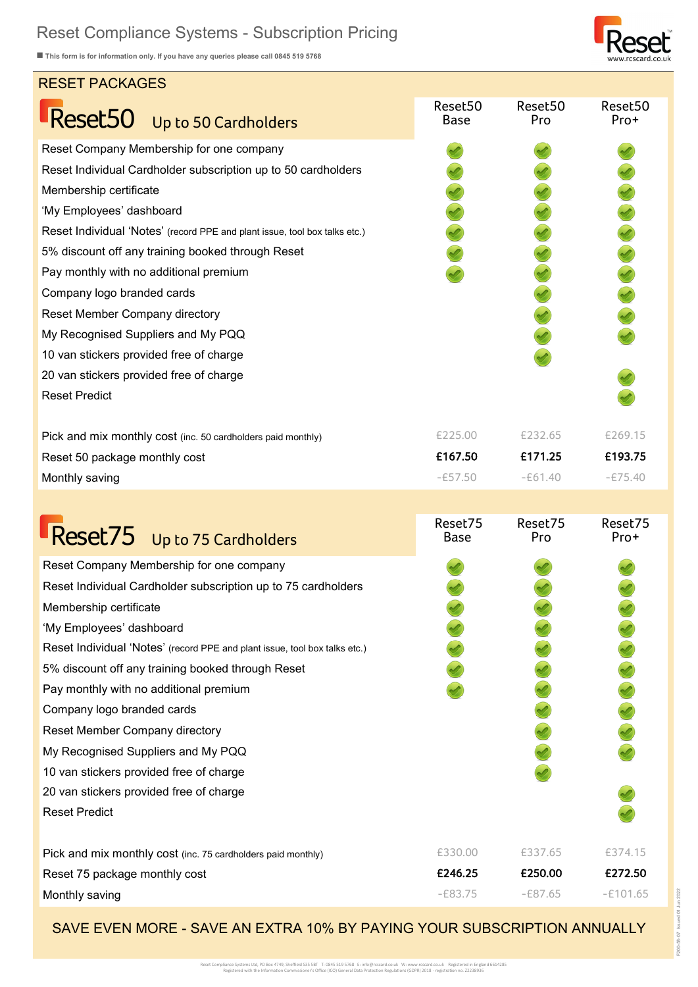# Reset Compliance Systems - Subscription Pricing

■ This form is for information only. If you have any queries please call 0845 519 5768

## RESET PACKAGES



| RESET PACKAGES                                                             |                        |                |                                                                                                                                                                 |
|----------------------------------------------------------------------------|------------------------|----------------|-----------------------------------------------------------------------------------------------------------------------------------------------------------------|
| Reset50 Up to 50 Cardholders                                               | Reset50<br><b>Base</b> | Reset50<br>Pro | Reset50<br>Pro+                                                                                                                                                 |
| Reset Company Membership for one company                                   |                        |                |                                                                                                                                                                 |
| Reset Individual Cardholder subscription up to 50 cardholders              |                        |                |                                                                                                                                                                 |
| Membership certificate                                                     |                        |                |                                                                                                                                                                 |
| 'My Employees' dashboard                                                   |                        |                | $\begin{array}{c} \textbf{A} & \textbf{A} & \textbf{A} & \textbf{A} & \textbf{A} \\ \textbf{A} & \textbf{B} & \textbf{A} & \textbf{A} & \textbf{A} \end{array}$ |
| Reset Individual 'Notes' (record PPE and plant issue, tool box talks etc.) |                        |                |                                                                                                                                                                 |
| 5% discount off any training booked through Reset                          |                        |                |                                                                                                                                                                 |
| Pay monthly with no additional premium                                     |                        |                |                                                                                                                                                                 |
| Company logo branded cards                                                 |                        |                |                                                                                                                                                                 |
| Reset Member Company directory                                             |                        |                |                                                                                                                                                                 |
| My Recognised Suppliers and My PQQ                                         |                        |                |                                                                                                                                                                 |
| 10 van stickers provided free of charge                                    |                        |                |                                                                                                                                                                 |
| 20 van stickers provided free of charge                                    |                        |                |                                                                                                                                                                 |
| <b>Reset Predict</b>                                                       |                        |                |                                                                                                                                                                 |
| Pick and mix monthly cost (inc. 50 cardholders paid monthly)               | £225.00                | £232.65        | £269.15                                                                                                                                                         |
| Reset 50 package monthly cost                                              | £167.50                | £171.25        | £193.75                                                                                                                                                         |
| Monthly saving                                                             | $-E57.50$              | $-E61.40$      | $-E75.40$                                                                                                                                                       |
|                                                                            |                        |                |                                                                                                                                                                 |
| Reset75 Up to 75 Cardholders                                               | Reset75<br><b>Base</b> | Reset75<br>Pro | Reset75<br>Pro+                                                                                                                                                 |
| Reset Company Membership for one company                                   |                        |                |                                                                                                                                                                 |
| Reset Individual Cardholder subscription up to 75 cardholders              |                        |                |                                                                                                                                                                 |
| Membership certificate                                                     |                        |                |                                                                                                                                                                 |
| 'My Employees' dashboard                                                   |                        |                |                                                                                                                                                                 |
| Reset Individual 'Notes' (record PPE and plant issue, tool box talks etc.) |                        |                |                                                                                                                                                                 |
| 5% discount off any training booked through Reset                          |                        |                |                                                                                                                                                                 |
| Pay monthly with no additional premium                                     |                        |                |                                                                                                                                                                 |
| Company logo branded cards                                                 |                        |                |                                                                                                                                                                 |
| Reset Member Company directory                                             |                        |                |                                                                                                                                                                 |
| My Recognised Suppliers and My PQQ                                         |                        |                |                                                                                                                                                                 |
| 10 van stickers provided free of charge                                    |                        |                |                                                                                                                                                                 |
| 20 van stickers provided free of charge                                    |                        |                |                                                                                                                                                                 |
| <b>Reset Predict</b>                                                       |                        |                |                                                                                                                                                                 |
| Pick and mix monthly cost (inc. 75 cardholders paid monthly)               | £330.00                | £337.65        | £374.15                                                                                                                                                         |
| Reset 75 package monthly cost                                              | £246.25                | £250.00        | £272.50                                                                                                                                                         |

SAVE EVEN MORE - SAVE AN EXTRA 10% BY PAYING YOUR SUBSCRIPTION ANNUALLY

Monthly saving **Accord 2018** -£83.75 -£83.75 -£87.65 -£101.65